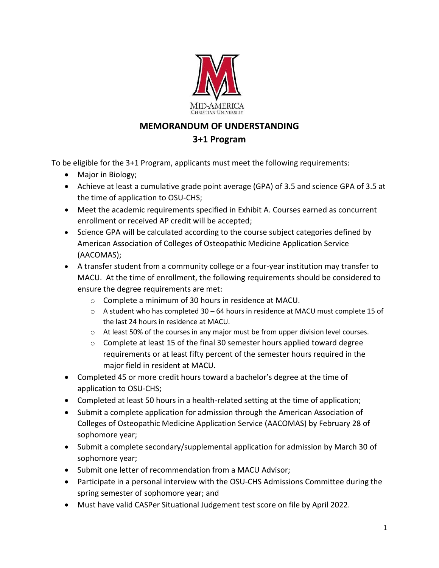

## **MEMORANDUM OF UNDERSTANDING 3+1 Program**

To be eligible for the 3+1 Program, applicants must meet the following requirements:

- Major in Biology;
- Achieve at least a cumulative grade point average (GPA) of 3.5 and science GPA of 3.5 at the time of application to OSU-CHS;
- Meet the academic requirements specified in Exhibit A. Courses earned as concurrent enrollment or received AP credit will be accepted;
- Science GPA will be calculated according to the course subject categories defined by American Association of Colleges of Osteopathic Medicine Application Service (AACOMAS);
- A transfer student from a community college or a four-year institution may transfer to MACU. At the time of enrollment, the following requirements should be considered to ensure the degree requirements are met:
	- o Complete a minimum of 30 hours in residence at MACU.
	- $\circ$  A student who has completed 30 64 hours in residence at MACU must complete 15 of the last 24 hours in residence at MACU.
	- $\circ$  At least 50% of the courses in any major must be from upper division level courses.
	- o Complete at least 15 of the final 30 semester hours applied toward degree requirements or at least fifty percent of the semester hours required in the major field in resident at MACU.
- Completed 45 or more credit hours toward a bachelor's degree at the time of application to OSU-CHS;
- Completed at least 50 hours in a health-related setting at the time of application;
- Submit a complete application for admission through the American Association of Colleges of Osteopathic Medicine Application Service (AACOMAS) by February 28 of sophomore year;
- Submit a complete secondary/supplemental application for admission by March 30 of sophomore year;
- Submit one letter of recommendation from a MACU Advisor;
- Participate in a personal interview with the OSU-CHS Admissions Committee during the spring semester of sophomore year; and
- Must have valid CASPer Situational Judgement test score on file by April 2022.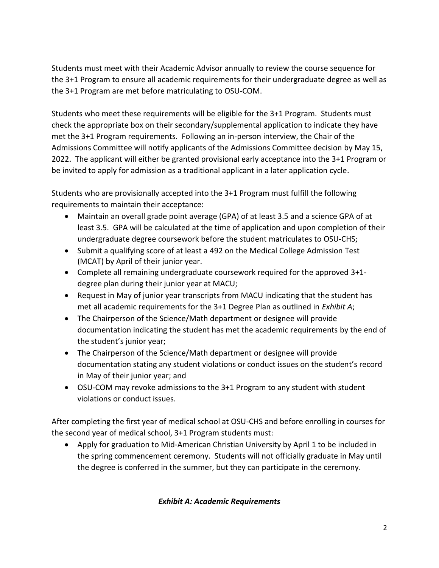Students must meet with their Academic Advisor annually to review the course sequence for the 3+1 Program to ensure all academic requirements for their undergraduate degree as well as the 3+1 Program are met before matriculating to OSU-COM.

Students who meet these requirements will be eligible for the 3+1 Program. Students must check the appropriate box on their secondary/supplemental application to indicate they have met the 3+1 Program requirements. Following an in-person interview, the Chair of the Admissions Committee will notify applicants of the Admissions Committee decision by May 15, 2022. The applicant will either be granted provisional early acceptance into the 3+1 Program or be invited to apply for admission as a traditional applicant in a later application cycle.

Students who are provisionally accepted into the 3+1 Program must fulfill the following requirements to maintain their acceptance:

- Maintain an overall grade point average (GPA) of at least 3.5 and a science GPA of at least 3.5. GPA will be calculated at the time of application and upon completion of their undergraduate degree coursework before the student matriculates to OSU-CHS;
- Submit a qualifying score of at least a 492 on the Medical College Admission Test (MCAT) by April of their junior year.
- Complete all remaining undergraduate coursework required for the approved 3+1 degree plan during their junior year at MACU;
- Request in May of junior year transcripts from MACU indicating that the student has met all academic requirements for the 3+1 Degree Plan as outlined in *Exhibit A*;
- The Chairperson of the Science/Math department or designee will provide documentation indicating the student has met the academic requirements by the end of the student's junior year;
- The Chairperson of the Science/Math department or designee will provide documentation stating any student violations or conduct issues on the student's record in May of their junior year; and
- OSU-COM may revoke admissions to the 3+1 Program to any student with student violations or conduct issues.

After completing the first year of medical school at OSU-CHS and before enrolling in courses for the second year of medical school, 3+1 Program students must:

• Apply for graduation to Mid-American Christian University by April 1 to be included in the spring commencement ceremony. Students will not officially graduate in May until the degree is conferred in the summer, but they can participate in the ceremony.

## *Exhibit A: Academic Requirements*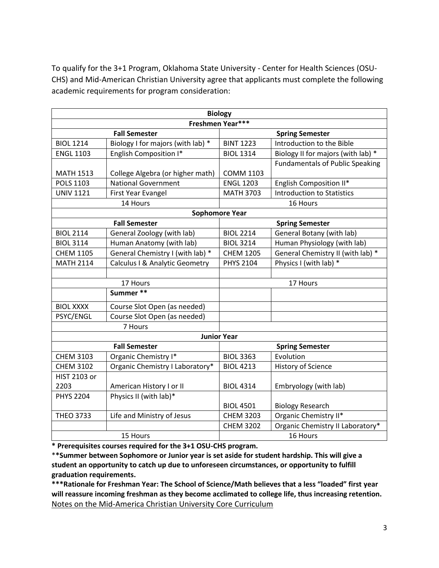To qualify for the 3+1 Program, Oklahoma State University - Center for Health Sciences (OSU-CHS) and Mid-American Christian University agree that applicants must complete the following academic requirements for program consideration:

| <b>Biology</b>        |                                   |                        |                                        |  |
|-----------------------|-----------------------------------|------------------------|----------------------------------------|--|
| Freshmen Year***      |                                   |                        |                                        |  |
|                       | <b>Fall Semester</b>              |                        | <b>Spring Semester</b>                 |  |
| <b>BIOL 1214</b>      | Biology I for majors (with lab) * | <b>BINT 1223</b>       | Introduction to the Bible              |  |
| <b>ENGL 1103</b>      | English Composition I*            | <b>BIOL 1314</b>       | Biology II for majors (with lab) *     |  |
|                       |                                   |                        | <b>Fundamentals of Public Speaking</b> |  |
| <b>MATH 1513</b>      | College Algebra (or higher math)  | <b>COMM 1103</b>       |                                        |  |
| <b>POLS 1103</b>      | <b>National Government</b>        | <b>ENGL 1203</b>       | English Composition II*                |  |
| <b>UNIV 1121</b>      | First Year Evangel                | <b>MATH 3703</b>       | <b>Introduction to Statistics</b>      |  |
| 14 Hours              |                                   |                        | 16 Hours                               |  |
| <b>Sophomore Year</b> |                                   |                        |                                        |  |
|                       | <b>Fall Semester</b>              |                        | <b>Spring Semester</b>                 |  |
| <b>BIOL 2114</b>      | General Zoology (with lab)        | <b>BIOL 2214</b>       | General Botany (with lab)              |  |
| <b>BIOL 3114</b>      | Human Anatomy (with lab)          | <b>BIOL 3214</b>       | Human Physiology (with lab)            |  |
| <b>CHEM 1105</b>      | General Chemistry I (with lab) *  | <b>CHEM 1205</b>       | General Chemistry II (with lab) *      |  |
| <b>MATH 2114</b>      | Calculus I & Analytic Geometry    | <b>PHYS 2104</b>       | Physics I (with lab) *                 |  |
|                       |                                   |                        |                                        |  |
| 17 Hours              |                                   |                        | 17 Hours                               |  |
|                       | Summer **                         |                        |                                        |  |
| <b>BIOL XXXX</b>      | Course Slot Open (as needed)      |                        |                                        |  |
| PSYC/ENGL             | Course Slot Open (as needed)      |                        |                                        |  |
| 7 Hours               |                                   |                        |                                        |  |
| <b>Junior Year</b>    |                                   |                        |                                        |  |
| <b>Fall Semester</b>  |                                   | <b>Spring Semester</b> |                                        |  |
| <b>CHEM 3103</b>      | Organic Chemistry I*              | <b>BIOL 3363</b>       | Evolution                              |  |
| <b>CHEM 3102</b>      | Organic Chemistry I Laboratory*   | <b>BIOL 4213</b>       | <b>History of Science</b>              |  |
| <b>HIST 2103 or</b>   |                                   |                        |                                        |  |
| 2203                  | American History I or II          | <b>BIOL 4314</b>       | Embryology (with lab)                  |  |
| <b>PHYS 2204</b>      | Physics II (with lab)*            |                        |                                        |  |
|                       |                                   | <b>BIOL 4501</b>       | <b>Biology Research</b>                |  |
| <b>THEO 3733</b>      | Life and Ministry of Jesus        | <b>CHEM 3203</b>       | Organic Chemistry II*                  |  |
|                       |                                   | <b>CHEM 3202</b>       | Organic Chemistry II Laboratory*       |  |
| 15 Hours              |                                   | 16 Hours               |                                        |  |

**\* Prerequisites courses required for the 3+1 OSU-CHS program.**

\***\*Summer between Sophomore or Junior year is set aside for student hardship. This will give a student an opportunity to catch up due to unforeseen circumstances, or opportunity to fulfill graduation requirements.**

**\*\*\*Rationale for Freshman Year: The School of Science/Math believes that a less "loaded" first year will reassure incoming freshman as they become acclimated to college life, thus increasing retention.**  Notes on the Mid-America Christian University Core Curriculum